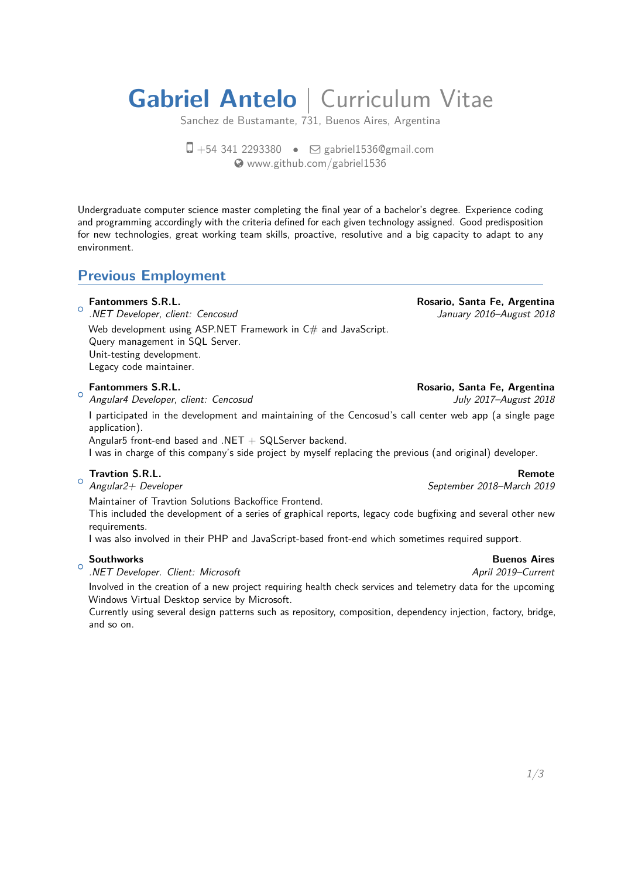# **Gabriel Antelo** | Curriculum Vitae

Sanchez de Bustamante, 731, Buenos Aires, Argentina

 $\Box$  +54 341 2293380 •  $\Box$  [gabriel1536@gmail.com](mailto:gabriel1536@gmail.com) [www.github.com/gabriel1536](http://www.github.com/gabriel1536)

Undergraduate computer science master completing the final year of a bachelor's degree. Experience coding and programming accordingly with the criteria defined for each given technology assigned. Good predisposition for new technologies, great working team skills, proactive, resolutive and a big capacity to adapt to any environment.

## **Previous Employment**

#### $\sim$ **Fantommers S.R.L. Rosario, Santa Fe, Argentina**

.NET Developer, client: Cencosud January 2016–August 2018

Web development using ASP.NET Framework in  $C#$  and JavaScript. Query management in SQL Server. Unit-testing development. Legacy code maintainer.

#### $\circ$

Angular4 Developer, client: Cencosud and a state of the Sully 2017-August 2018

I participated in the development and maintaining of the Cencosud's call center web app (a single page application).

Angular5 front-end based and .NET  $+$  SQLServer backend.

I was in charge of this company's side project by myself replacing the previous (and original) developer.

#### $\circ$ **Travtion S.R.L. Remote**

Angular2+ Developer September 2018–March 2019

Maintainer of Travtion Solutions Backoffice Frontend.

This included the development of a series of graphical reports, legacy code bugfixing and several other new requirements.

I was also involved in their PHP and JavaScript-based front-end which sometimes required support.

#### $\circ$

.NET Developer. Client: Microsoft **April 2019**-Current

Involved in the creation of a new project requiring health check services and telemetry data for the upcoming Windows Virtual Desktop service by Microsoft.

Currently using several design patterns such as repository, composition, dependency injection, factory, bridge, and so on.

#### **Fantommers S.R.L. Rosario, Santa Fe, Argentina**

### **Southworks Buenos Aires**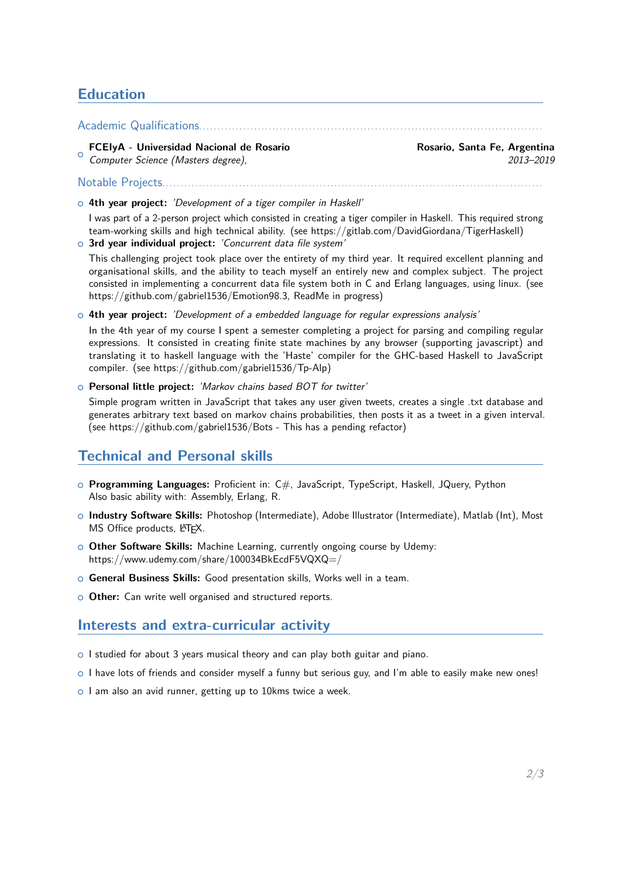## **Education**

Academic Qualifications..............................................................................................

 $\circ$ **FCEIyA - Universidad Nacional de Rosario Rosario, Santa Fe, Argentina** Computer Science (Masters degree), 2013–2019

<sup>+</sup> **4th year project:** 'Development of a tiger compiler in Haskell'

Notable Projects........................................................................................................

I was part of a 2-person project which consisted in creating a tiger compiler in Haskell. This required strong team-working skills and high technical ability. (see https://gitlab.com/DavidGiordana/TigerHaskell) **3rd year individual project:** 'Concurrent data file system'

- This challenging project took place over the entirety of my third year. It required excellent planning and organisational skills, and the ability to teach myself an entirely new and complex subject. The project consisted in implementing a concurrent data file system both in C and Erlang languages, using linux. (see https://github.com/gabriel1536/Emotion98.3, ReadMe in progress)
- $\circ$  4th year project: *'Development of a embedded language for regular expressions analysis'*

In the 4th year of my course I spent a semester completing a project for parsing and compiling regular expressions. It consisted in creating finite state machines by any browser (supporting javascript) and translating it to haskell language with the 'Haste' compiler for the GHC-based Haskell to JavaScript compiler. (see https://github.com/gabriel1536/Tp-Alp)

<sup>+</sup> **Personal little project:** 'Markov chains based BOT for twitter'

Simple program written in JavaScript that takes any user given tweets, creates a single .txt database and generates arbitrary text based on markov chains probabilities, then posts it as a tweet in a given interval. (see https://github.com/gabriel1536/Bots - This has a pending refactor)

## **Technical and Personal skills**

- <sup>+</sup> **Programming Languages:** Proficient in: C#, JavaScript, TypeScript, Haskell, JQuery, Python Also basic ability with: Assembly, Erlang, R.
- <sup>+</sup> **Industry Software Skills:** Photoshop (Intermediate), Adobe Illustrator (Intermediate), Matlab (Int), Most MS Office products, LATFX.
- $\circ$  Other Software Skills: Machine Learning, currently ongoing course by Udemy: https://www.udemy.com/share/100034BkEcdF5VQXQ=/
- **General Business Skills:** Good presentation skills, Works well in a team.
- **O Other:** Can write well organised and structured reports.

## **Interests and extra-curricular activity**

- $\circ$  I studied for about 3 years musical theory and can play both guitar and piano.
- $\circ$  I have lots of friends and consider myself a funny but serious guy, and I'm able to easily make new ones!
- <span id="page-1-0"></span>o I am also an avid runner, getting up to 10kms twice a week.